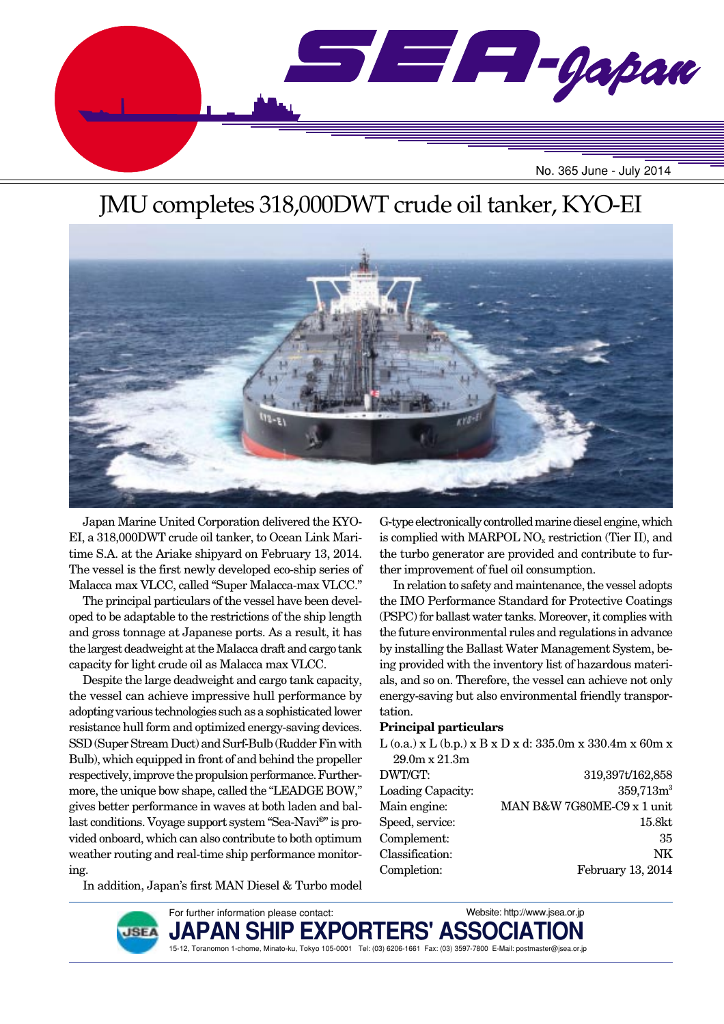

# JMU completes 318,000DWT crude oil tanker, KYO-EI



Japan Marine United Corporation delivered the KYO-EI, a 318,000DWT crude oil tanker, to Ocean Link Maritime S.A. at the Ariake shipyard on February 13, 2014. The vessel is the first newly developed eco-ship series of Malacca max VLCC, called "Super Malacca-max VLCC."

The principal particulars of the vessel have been developed to be adaptable to the restrictions of the ship length and gross tonnage at Japanese ports. As a result, it has the largest deadweight at the Malacca draft and cargo tank capacity for light crude oil as Malacca max VLCC.

Despite the large deadweight and cargo tank capacity, the vessel can achieve impressive hull performance by adopting various technologies such as a sophisticated lower resistance hull form and optimized energy-saving devices. SSD (Super Stream Duct) and Surf-Bulb (Rudder Fin with Bulb), which equipped in front of and behind the propeller respectively, improve the propulsion performance. Furthermore, the unique bow shape, called the "LEADGE BOW," gives better performance in waves at both laden and ballast conditions. Voyage support system "Sea-Navi®" is provided onboard, which can also contribute to both optimum weather routing and real-time ship performance monitoring.

G-type electronically controlled marine diesel engine, which is complied with MARPOL  $NO<sub>x</sub>$  restriction (Tier II), and the turbo generator are provided and contribute to further improvement of fuel oil consumption.

In relation to safety and maintenance, the vessel adopts the IMO Performance Standard for Protective Coatings (PSPC) for ballast water tanks. Moreover, it complies with the future environmental rules and regulations in advance by installing the Ballast Water Management System, being provided with the inventory list of hazardous materials, and so on. Therefore, the vessel can achieve not only energy-saving but also environmental friendly transportation.

#### **Principal particulars**

 $L$  (o.a.) x  $L$  (b.p.) x  $B$  x  $D$  x d: 335.0m x 330.4m x 60m x 29.0m x 21.3m DWT/GT: 319,397t/162,858 Loading Capacity: 359,713m<sup>3</sup> Main engine: MAN B&W 7G80ME-C9 x 1 unit Speed, service: 15.8kt Complement: 35 Classification: NK Completion: February 13, 2014

In addition, Japan's first MAN Diesel & Turbo model

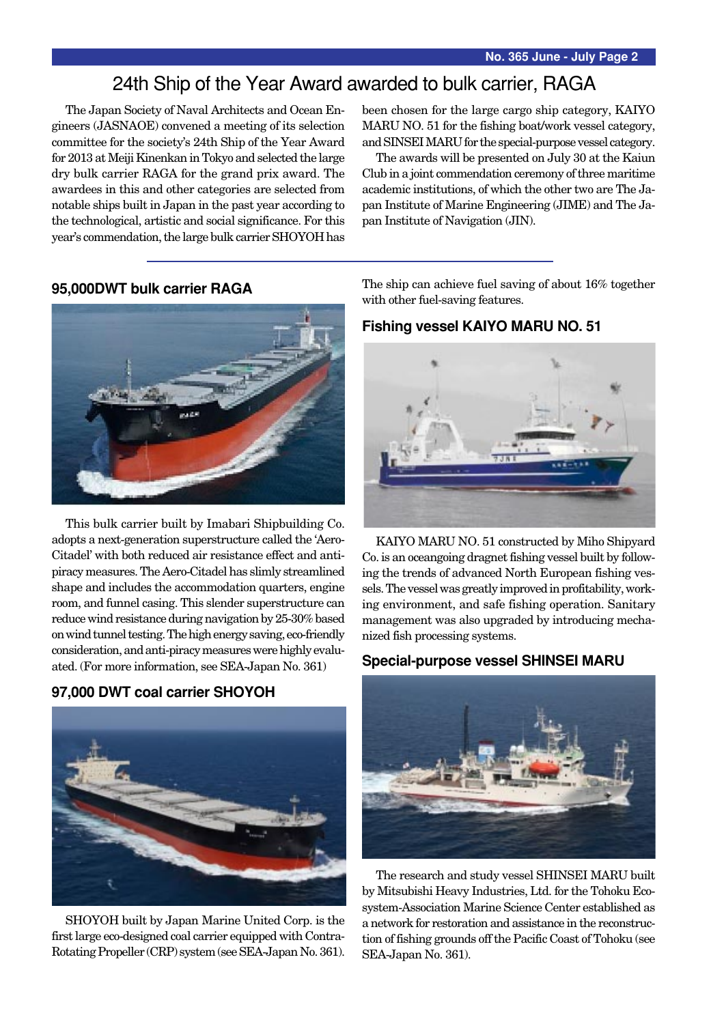## 24th Ship of the Year Award awarded to bulk carrier, RAGA

The Japan Society of Naval Architects and Ocean Engineers (JASNAOE) convened a meeting of its selection committee for the society's 24th Ship of the Year Award for 2013 at Meiji Kinenkan in Tokyo and selected the large dry bulk carrier RAGA for the grand prix award. The awardees in this and other categories are selected from notable ships built in Japan in the past year according to the technological, artistic and social significance. For this year's commendation, the large bulk carrier SHOYOH has been chosen for the large cargo ship category, KAIYO MARU NO. 51 for the fishing boat/work vessel category, and SINSEI MARU for the special-purpose vessel category.

The awards will be presented on July 30 at the Kaiun Club in a joint commendation ceremony of three maritime academic institutions, of which the other two are The Japan Institute of Marine Engineering (JIME) and The Japan Institute of Navigation (JIN).

### **95,000DWT bulk carrier RAGA**



This bulk carrier built by Imabari Shipbuilding Co. adopts a next-generation superstructure called the 'Aero-Citadel' with both reduced air resistance effect and antipiracy measures. The Aero-Citadel has slimly streamlined shape and includes the accommodation quarters, engine room, and funnel casing. This slender superstructure can reduce wind resistance during navigation by 25-30% based on wind tunnel testing. The high energy saving, eco-friendly consideration, and anti-piracy measures were highly evaluated. (For more information, see SEA-Japan No. 361)

### **97,000 DWT coal carrier SHOYOH**



SHOYOH built by Japan Marine United Corp. is the first large eco-designed coal carrier equipped with Contra-Rotating Propeller (CRP) system (see SEA-Japan No. 361).

The ship can achieve fuel saving of about 16% together with other fuel-saving features.

### **Fishing vessel KAIYO MARU NO. 51**



KAIYO MARU NO. 51 constructed by Miho Shipyard Co. is an oceangoing dragnet fishing vessel built by following the trends of advanced North European fishing vessels. The vessel was greatly improved in profitability, working environment, and safe fishing operation. Sanitary management was also upgraded by introducing mechanized fish processing systems.

#### **Special-purpose vessel SHINSEI MARU**



The research and study vessel SHINSEI MARU built by Mitsubishi Heavy Industries, Ltd. for the Tohoku Ecosystem-Association Marine Science Center established as a network for restoration and assistance in the reconstruction of fishing grounds off the Pacific Coast of Tohoku (see SEA-Japan No. 361).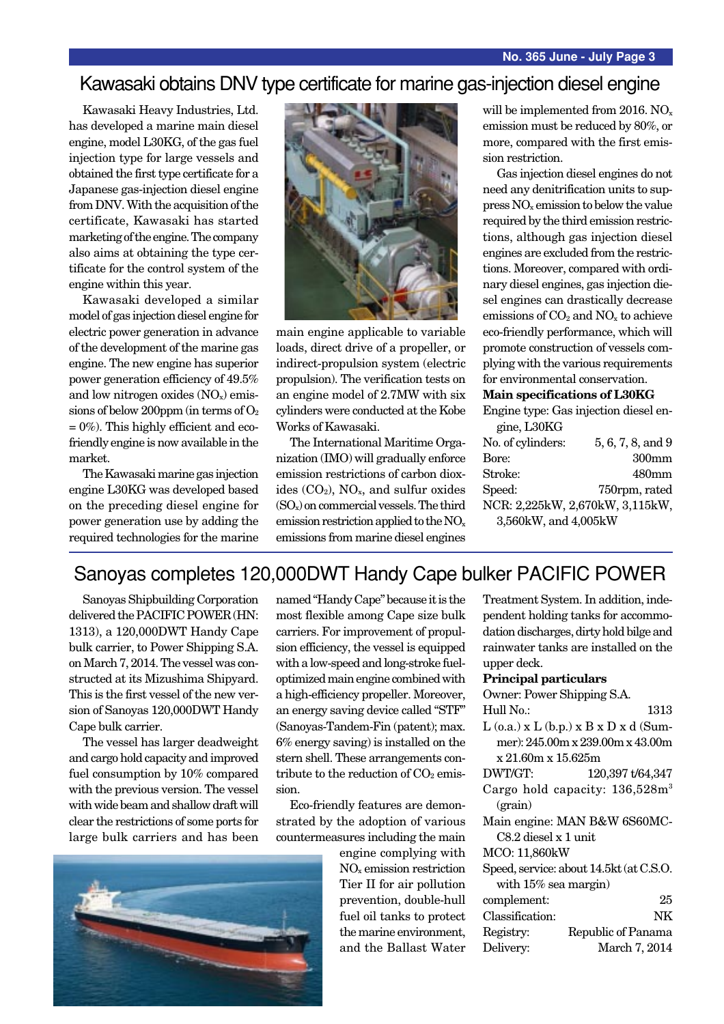### Kawasaki obtains DNV type certificate for marine gas-injection diesel engine

Kawasaki Heavy Industries, Ltd. has developed a marine main diesel engine, model L30KG, of the gas fuel injection type for large vessels and obtained the first type certificate for a Japanese gas-injection diesel engine from DNV. With the acquisition of the certificate, Kawasaki has started marketing of the engine. The company also aims at obtaining the type certificate for the control system of the engine within this year.

Kawasaki developed a similar model of gas injection diesel engine for electric power generation in advance of the development of the marine gas engine. The new engine has superior power generation efficiency of 49.5% and low nitrogen oxides  $(NO<sub>x</sub>)$  emissions of below 200ppm (in terms of  $O<sub>2</sub>$  $= 0\%$ ). This highly efficient and ecofriendly engine is now available in the market.

The Kawasaki marine gas injection engine L30KG was developed based on the preceding diesel engine for power generation use by adding the required technologies for the marine



main engine applicable to variable loads, direct drive of a propeller, or indirect-propulsion system (electric propulsion). The verification tests on an engine model of 2.7MW with six cylinders were conducted at the Kobe Works of Kawasaki.

The International Maritime Organization (IMO) will gradually enforce emission restrictions of carbon dioxides  $(CO_2)$ ,  $NO_x$ , and sulfur oxides  $(SO_x)$  on commercial vessels. The third emission restriction applied to the NOx emissions from marine diesel engines will be implemented from 2016. NO<sub>x</sub> emission must be reduced by 80%, or more, compared with the first emission restriction.

Gas injection diesel engines do not need any denitrification units to suppress NOx emission to below the value required by the third emission restrictions, although gas injection diesel engines are excluded from the restrictions. Moreover, compared with ordinary diesel engines, gas injection diesel engines can drastically decrease emissions of  $CO<sub>2</sub>$  and  $NO<sub>x</sub>$  to achieve eco-friendly performance, which will promote construction of vessels complying with the various requirements for environmental conservation.

#### **Main specifications of L30KG**

Engine type: Gas injection diesel engine, L30KG

| No. of cylinders:               | 5, 6, 7, 8, and 9 |
|---------------------------------|-------------------|
| Bore:                           | 300 <sub>mm</sub> |
| Stroke:                         | 480mm             |
| Speed:                          | 750rpm, rated     |
| NCR: 2,225kW, 2,670kW, 3,115kW, |                   |
| 3,560kW, and 4,005kW            |                   |

## Sanoyas completes 120,000DWT Handy Cape bulker PACIFIC POWER

Sanoyas Shipbuilding Corporation delivered the PACIFIC POWER (HN: 1313), a 120,000DWT Handy Cape bulk carrier, to Power Shipping S.A. on March 7, 2014. The vessel was constructed at its Mizushima Shipyard. This is the first vessel of the new version of Sanoyas 120,000DWT Handy Cape bulk carrier.

The vessel has larger deadweight and cargo hold capacity and improved fuel consumption by 10% compared with the previous version. The vessel with wide beam and shallow draft will clear the restrictions of some ports for large bulk carriers and has been

named "Handy Cape" because it is the most flexible among Cape size bulk carriers. For improvement of propulsion efficiency, the vessel is equipped with a low-speed and long-stroke fueloptimized main engine combined with a high-efficiency propeller. Moreover, an energy saving device called "STF" (Sanoyas-Tandem-Fin (patent); max. 6% energy saving) is installed on the stern shell. These arrangements contribute to the reduction of  $CO<sub>2</sub>$  emission.

Eco-friendly features are demonstrated by the adoption of various countermeasures including the main

> engine complying with NOx emission restriction Tier II for air pollution prevention, double-hull fuel oil tanks to protect the marine environment, and the Ballast Water

| Treatment System. In addition, inde-         |
|----------------------------------------------|
| pendent holding tanks for accommo-           |
| dation discharges, dirty hold bilge and      |
| rainwater tanks are installed on the         |
| upper deck.                                  |
| <b>Principal particulars</b>                 |
| Owner: Power Shipping S.A.                   |
| Hull No.:<br>1313                            |
| $T$ $($ $)$ $T$ $(1$ $)$ $T$ $T$ $T$ $($ $T$ |

| $L$ (o.a.) x $L$ (b.p.) x $B$ x $D$ x d (Sum- |                                  |
|-----------------------------------------------|----------------------------------|
|                                               | mer): 245.00m x 239.00m x 43.00m |
| x 21.60m x 15.625m                            |                                  |
| DWT/GT:                                       | 120,397 t/64,347                 |

|         |  | Cargo hold capacity: 136,528m <sup>3</sup> |
|---------|--|--------------------------------------------|
| (grain) |  |                                            |

Main engine: MAN B&W 6S60MC-C8.2 diesel x 1 unit

### MCO: 11,860kW

| Speed, service: about 14.5Kt (at C.S.O. |    |
|-----------------------------------------|----|
| with $15\%$ sea margin)                 |    |
| complement:                             | 25 |

 $S<sub>1</sub>$  service: a c.S.O.

| $\angle 5$         |
|--------------------|
| NK                 |
| Republic of Panama |
| March 7, 2014      |
|                    |

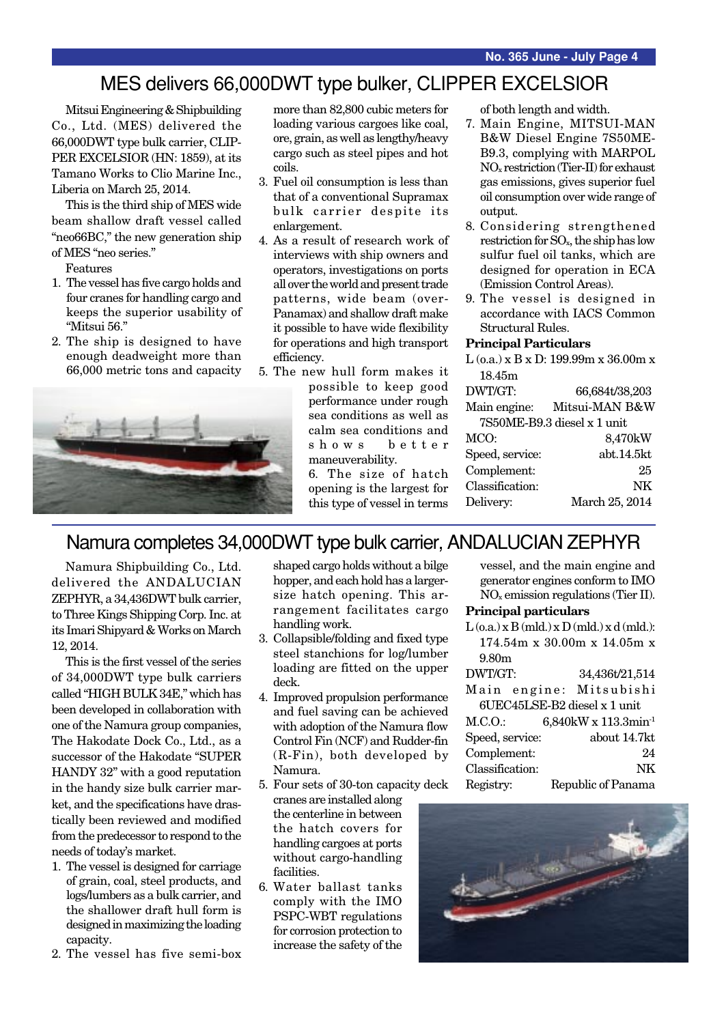## MES delivers 66,000DWT type bulker, CLIPPER EXCELSIOR

Mitsui Engineering & Shipbuilding Co., Ltd. (MES) delivered the 66,000DWT type bulk carrier, CLIP-PER EXCELSIOR (HN: 1859), at its Tamano Works to Clio Marine Inc., Liberia on March 25, 2014.

This is the third ship of MES wide beam shallow draft vessel called "neo66BC," the new generation ship of MES "neo series."

Features

- 1. The vessel has five cargo holds and four cranes for handling cargo and keeps the superior usability of "Mitsui 56."
- 2. The ship is designed to have enough deadweight more than 66,000 metric tons and capacity



more than 82,800 cubic meters for loading various cargoes like coal, ore, grain, as well as lengthy/heavy cargo such as steel pipes and hot coils.

- 3. Fuel oil consumption is less than that of a conventional Supramax bulk carrier despite its enlargement.
- 4. As a result of research work of interviews with ship owners and operators, investigations on ports all over the world and present trade patterns, wide beam (over-Panamax) and shallow draft make it possible to have wide flexibility for operations and high transport efficiency.
- 5. The new hull form makes it possible to keep good performance under rough sea conditions as well as calm sea conditions and shows better maneuverability.

6. The size of hatch opening is the largest for this type of vessel in terms of both length and width.

- 7. Main Engine, MITSUI-MAN B&W Diesel Engine 7S50ME-B9.3, complying with MARPOL NOx restriction (Tier-II) for exhaust gas emissions, gives superior fuel oil consumption over wide range of output.
- 8. Considering strengthened restriction for SOx, the ship has low sulfur fuel oil tanks, which are designed for operation in ECA (Emission Control Areas).
- 9. The vessel is designed in accordance with IACS Common Structural Rules.

#### **Principal Particulars**

 $L$  (o.a.) x B x D: 199.99m x 36.00m x 18.45m

| DWT/GT:         | 66,684t/38,203              |
|-----------------|-----------------------------|
| Main engine:    | Mitsui-MAN B&W              |
|                 | 7S50ME-B9.3 diesel x 1 unit |
| MCO:            | 8,470kW                     |
| Speed, service: | abt.14.5kt                  |
| Complement:     | 25                          |
| Classification: | <b>NK</b>                   |
| Delivery:       | March 25, 2014              |
|                 |                             |

## Namura completes 34,000DWT type bulk carrier, ANDALUCIAN ZEPHYR

Namura Shipbuilding Co., Ltd. delivered the ANDALUCIAN ZEPHYR, a 34,436DWT bulk carrier, to Three Kings Shipping Corp. Inc. at its Imari Shipyard & Works on March 12, 2014.

This is the first vessel of the series of 34,000DWT type bulk carriers called "HIGH BULK 34E," which has been developed in collaboration with one of the Namura group companies, The Hakodate Dock Co., Ltd., as a successor of the Hakodate "SUPER HANDY 32" with a good reputation in the handy size bulk carrier market, and the specifications have drastically been reviewed and modified from the predecessor to respond to the needs of today's market.

- 1. The vessel is designed for carriage of grain, coal, steel products, and logs/lumbers as a bulk carrier, and the shallower draft hull form is designed in maximizing the loading capacity.
- 2. The vessel has five semi-box

shaped cargo holds without a bilge hopper, and each hold has a largersize hatch opening. This arrangement facilitates cargo handling work.

- 3. Collapsible/folding and fixed type steel stanchions for log/lumber loading are fitted on the upper deck.
- 4. Improved propulsion performance and fuel saving can be achieved with adoption of the Namura flow Control Fin (NCF) and Rudder-fin (R-Fin), both developed by Namura.
- 5. Four sets of 30-ton capacity deck
- cranes are installed along the centerline in between the hatch covers for handling cargoes at ports without cargo-handling facilities.
- 6. Water ballast tanks comply with the IMO PSPC-WBT regulations for corrosion protection to increase the safety of the

vessel, and the main engine and generator engines conform to IMO  $NO<sub>x</sub>$  emission regulations (Tier II).

#### **Principal particulars**

 $L(o.a.) \times B (mld.) \times D (mld.) \times d (mld.)$ : 174.54m x 30.00m x 14.05m x 9.80m

| DWT/GT:         | 34,436t/21,514                   |
|-----------------|----------------------------------|
|                 | Main engine: Mitsubishi          |
|                 | 6UEC45LSE-B2 diesel x 1 unit     |
| M.C.O.          | 6,840kW x 113.3min <sup>-1</sup> |
| Speed, service: | about 14.7kt                     |
| Complement:     | 94                               |
| Classification: | NK                               |
| Registry:       | Republic of Panama               |

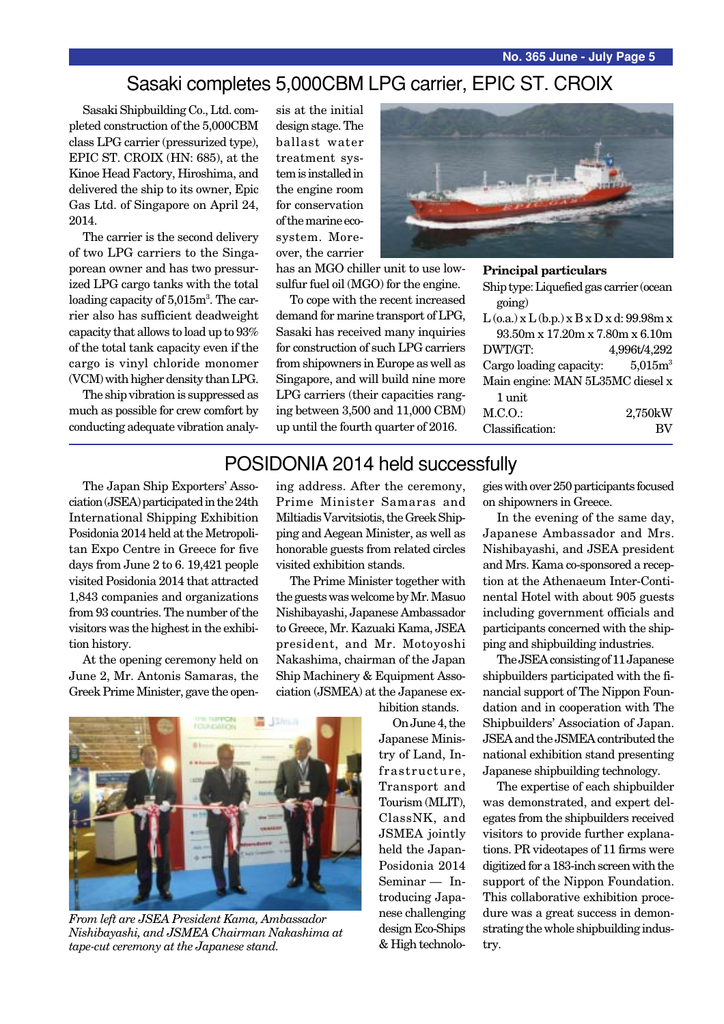## Sasaki completes 5,000CBM LPG carrier, EPIC ST. CROIX

Sasaki Shipbuilding Co., Ltd. completed construction of the 5,000CBM class LPG carrier (pressurized type), EPIC ST. CROIX (HN: 685), at the Kinoe Head Factory, Hiroshima, and delivered the ship to its owner, Epic Gas Ltd. of Singapore on April 24, 2014.

The carrier is the second delivery of two LPG carriers to the Singaporean owner and has two pressurized LPG cargo tanks with the total loading capacity of 5,015m<sup>3</sup>. The carrier also has sufficient deadweight capacity that allows to load up to 93% of the total tank capacity even if the cargo is vinyl chloride monomer (VCM) with higher density than LPG.

The ship vibration is suppressed as much as possible for crew comfort by conducting adequate vibration analysis at the initial design stage. The ballast water treatment system is installed in the engine room for conservation of the marine ecosystem. Moreover, the carrier

has an MGO chiller unit to use lowsulfur fuel oil (MGO) for the engine.

To cope with the recent increased demand for marine transport of LPG, Sasaki has received many inquiries for construction of such LPG carriers from shipowners in Europe as well as Singapore, and will build nine more LPG carriers (their capacities ranging between 3,500 and 11,000 CBM) up until the fourth quarter of 2016.



**Principal particulars**

Ship type: Liquefied gas carrier (ocean going)  $L$  (o.a.)  $x L$  (b.p.)  $x B x D x d$ : 99.98m  $x$ 93.50m x 17.20m x 7.80m x 6.10m DWT/GT: 4,996t/4,292 Cargo loading capacity:  $5,015m<sup>3</sup>$ 

| Main engine: MAN 5L35MC diesel x |           |
|----------------------------------|-----------|
| 1 unit                           |           |
| M.C.O.                           | 2,750kW   |
| Classification:                  | <b>BV</b> |

### POSIDONIA 2014 held successfully

The Japan Ship Exporters' Association (JSEA) participated in the 24th International Shipping Exhibition Posidonia 2014 held at the Metropolitan Expo Centre in Greece for five days from June 2 to 6. 19,421 people visited Posidonia 2014 that attracted 1,843 companies and organizations from 93 countries. The number of the visitors was the highest in the exhibition history.

At the opening ceremony held on June 2, Mr. Antonis Samaras, the Greek Prime Minister, gave the opening address. After the ceremony, Prime Minister Samaras and Miltiadis Varvitsiotis, the Greek Shipping and Aegean Minister, as well as honorable guests from related circles visited exhibition stands.

The Prime Minister together with the guests was welcome by Mr. Masuo Nishibayashi, Japanese Ambassador to Greece, Mr. Kazuaki Kama, JSEA president, and Mr. Motoyoshi Nakashima, chairman of the Japan Ship Machinery & Equipment Association (JSMEA) at the Japanese ex-



*From left are JSEA President Kama, Ambassador Nishibayashi, and JSMEA Chairman Nakashima at tape-cut ceremony at the Japanese stand.*

hibition stands.

On June 4, the Japanese Ministry of Land, Infrastructure, Transport and Tourism (MLIT), ClassNK, and JSMEA jointly held the Japan-Posidonia 2014 Seminar — Introducing Japanese challenging design Eco-Ships & High technologies with over 250 participants focused on shipowners in Greece.

In the evening of the same day, Japanese Ambassador and Mrs. Nishibayashi, and JSEA president and Mrs. Kama co-sponsored a reception at the Athenaeum Inter-Continental Hotel with about 905 guests including government officials and participants concerned with the shipping and shipbuilding industries.

The JSEA consisting of 11 Japanese shipbuilders participated with the financial support of The Nippon Foundation and in cooperation with The Shipbuilders' Association of Japan. JSEA and the JSMEA contributed the national exhibition stand presenting Japanese shipbuilding technology.

The expertise of each shipbuilder was demonstrated, and expert delegates from the shipbuilders received visitors to provide further explanations. PR videotapes of 11 firms were digitized for a 183-inch screen with the support of the Nippon Foundation. This collaborative exhibition procedure was a great success in demonstrating the whole shipbuilding industry.